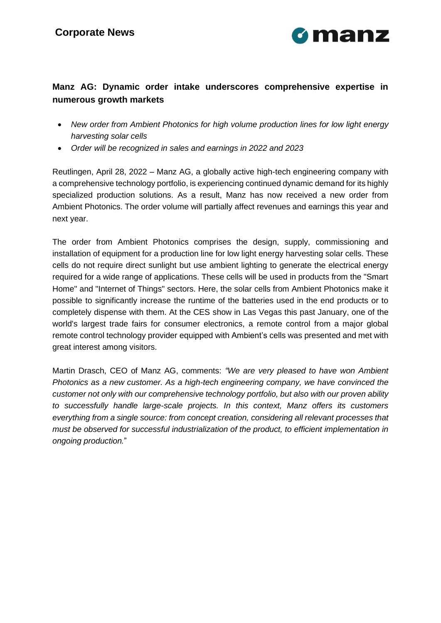

# **Manz AG: Dynamic order intake underscores comprehensive expertise in numerous growth markets**

- *New order from Ambient Photonics for high volume production lines for low light energy harvesting solar cells*
- *Order will be recognized in sales and earnings in 2022 and 2023*

Reutlingen, April 28, 2022 – Manz AG, a globally active high-tech engineering company with a comprehensive technology portfolio, is experiencing continued dynamic demand for its highly specialized production solutions. As a result, Manz has now received a new order from Ambient Photonics. The order volume will partially affect revenues and earnings this year and next year.

The order from Ambient Photonics comprises the design, supply, commissioning and installation of equipment for a production line for low light energy harvesting solar cells. These cells do not require direct sunlight but use ambient lighting to generate the electrical energy required for a wide range of applications. These cells will be used in products from the "Smart Home" and "Internet of Things" sectors. Here, the solar cells from Ambient Photonics make it possible to significantly increase the runtime of the batteries used in the end products or to completely dispense with them. At the CES show in Las Vegas this past January, one of the world's largest trade fairs for consumer electronics, a remote control from a major global remote control technology provider equipped with Ambient's cells was presented and met with great interest among visitors.

Martin Drasch, CEO of Manz AG, comments: *"We are very pleased to have won Ambient Photonics as a new customer. As a high-tech engineering company, we have convinced the customer not only with our comprehensive technology portfolio, but also with our proven ability to successfully handle large-scale projects. In this context, Manz offers its customers everything from a single source: from concept creation, considering all relevant processes that must be observed for successful industrialization of the product, to efficient implementation in ongoing production.*"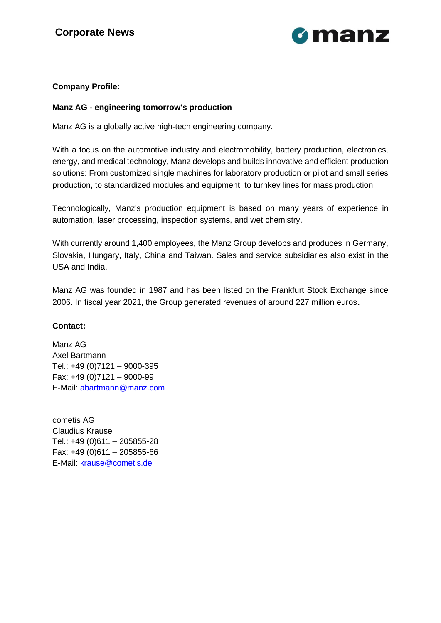

## **Company Profile:**

#### **Manz AG - engineering tomorrow's production**

Manz AG is a globally active high-tech engineering company.

With a focus on the automotive industry and electromobility, battery production, electronics, energy, and medical technology, Manz develops and builds innovative and efficient production solutions: From customized single machines for laboratory production or pilot and small series production, to standardized modules and equipment, to turnkey lines for mass production.

Technologically, Manz's production equipment is based on many years of experience in automation, laser processing, inspection systems, and wet chemistry.

With currently around 1,400 employees, the Manz Group develops and produces in Germany, Slovakia, Hungary, Italy, China and Taiwan. Sales and service subsidiaries also exist in the USA and India.

Manz AG was founded in 1987 and has been listed on the Frankfurt Stock Exchange since 2006. In fiscal year 2021, the Group generated revenues of around 227 million euros.

### **Contact:**

Manz AG Axel Bartmann Tel.: +49 (0)7121 – 9000-395 Fax: +49 (0)7121 – 9000-99 E-Mail: [abartmann@manz.com](mailto:abartmann@manz.com)

cometis AG Claudius Krause Tel.: +49 (0)611 – 205855-28 Fax: +49 (0)611 – 205855-66 E-Mail: [krause@cometis.de](mailto:krause@cometis.de)